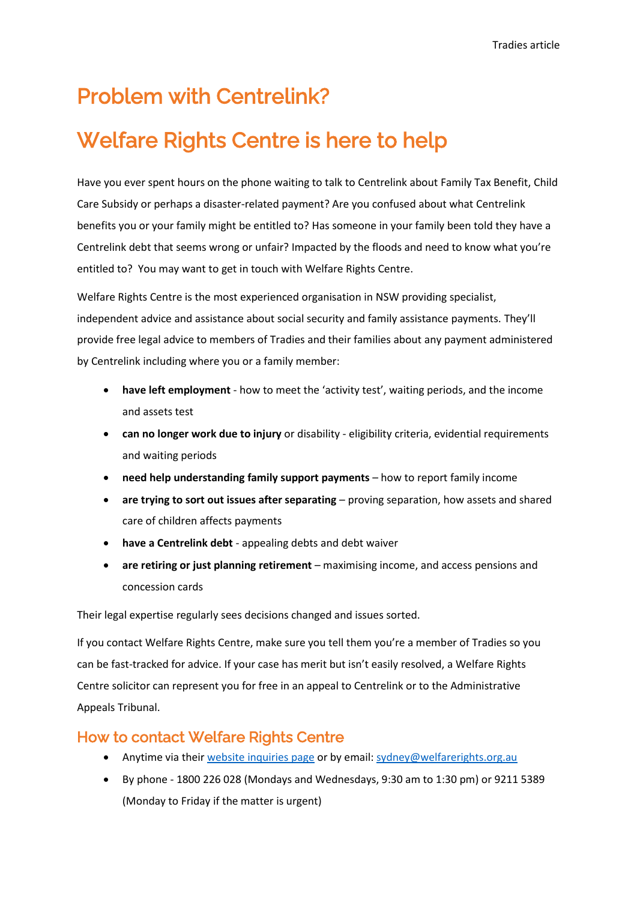# Problem with Centrelink?

# Welfare Rights Centre is here to help

Have you ever spent hours on the phone waiting to talk to Centrelink about Family Tax Benefit, Child Care Subsidy or perhaps a disaster-related payment? Are you confused about what Centrelink benefits you or your family might be entitled to? Has someone in your family been told they have a Centrelink debt that seems wrong or unfair? Impacted by the floods and need to know what you're entitled to? You may want to get in touch with Welfare Rights Centre.

Welfare Rights Centre is the most experienced organisation in NSW providing specialist, independent advice and assistance about social security and family assistance payments. They'll provide free legal advice to members of Tradies and their families about any payment administered by Centrelink including where you or a family member:

- **have left employment** how to meet the 'activity test', waiting periods, and the income and assets test
- **can no longer work due to injury** or disability eligibility criteria, evidential requirements and waiting periods
- **need help understanding family support payments**  how to report family income
- **are trying to sort out issues after separating** proving separation, how assets and shared care of children affects payments
- **have a Centrelink debt** appealing debts and debt waiver
- **are retiring or just planning retirement** maximising income, and access pensions and concession cards

Their legal expertise regularly sees decisions changed and issues sorted.

If you contact Welfare Rights Centre, make sure you tell them you're a member of Tradies so you can be fast-tracked for advice. If your case has merit but isn't easily resolved, a Welfare Rights Centre solicitor can represent you for free in an appeal to Centrelink or to the Administrative Appeals Tribunal.

### How to contact Welfare Rights Centre

- Anytime via thei[r website inquiries page](https://welfarerightscentre.org.au/need-help) or by email: [sydney@welfarerights.org.au](mailto:sydney@welfarerights.org.au)
- By phone  $1800$  226 028 (Mondays and Wednesdays, 9:30 am to 1:30 pm) or 9211 5389 (Monday to Friday if the matter is urgent)